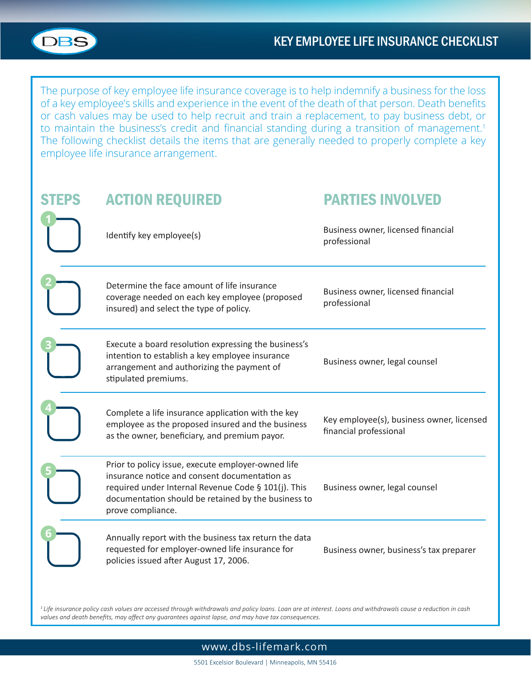

The purpose of key employee life insurance coverage is to help indemnify a business for the loss of a key employee's skills and experience in the event of the death of that person. Death benefits or cash values may be used to help recruit and train a replacement, to pay business debt, or to maintain the business's credit and financial standing during a transition of management.<sup>1</sup> The following checklist details the items that are generally needed to properly complete a key employee life insurance arrangement.

| <b>EPS</b> | <b>ACTION REQUIRED</b>                                                                                                                                                                                                                 | <b>PARTIES INVOLVED</b>                                             |
|------------|----------------------------------------------------------------------------------------------------------------------------------------------------------------------------------------------------------------------------------------|---------------------------------------------------------------------|
|            | Identify key employee(s)                                                                                                                                                                                                               | Business owner, licensed financial<br>professional                  |
|            | Determine the face amount of life insurance<br>coverage needed on each key employee (proposed<br>insured) and select the type of policy.                                                                                               | Business owner, licensed financial<br>professional                  |
|            | Execute a board resolution expressing the business's<br>intention to establish a key employee insurance<br>arrangement and authorizing the payment of<br>stipulated premiums.                                                          | Business owner, legal counsel                                       |
|            | Complete a life insurance application with the key<br>employee as the proposed insured and the business<br>as the owner, beneficiary, and premium payor.                                                                               | Key employee(s), business owner, licensed<br>financial professional |
|            | Prior to policy issue, execute employer-owned life<br>insurance notice and consent documentation as<br>required under Internal Revenue Code § 101(j). This<br>documentation should be retained by the business to<br>prove compliance. | Business owner, legal counsel                                       |
|            | Annually report with the business tax return the data<br>requested for employer-owned life insurance for<br>policies issued after August 17, 2006.                                                                                     | Business owner, business's tax preparer                             |

*<sup>1</sup>Life insurance policy cash values are accessed through withdrawals and policy loans. Loan are at interest. Loans and withdrawals cause a reduction in cash values and death benefits, may affect any guarantees against lapse, and may have tax consequences.* 

### www.dbs-lifemark.com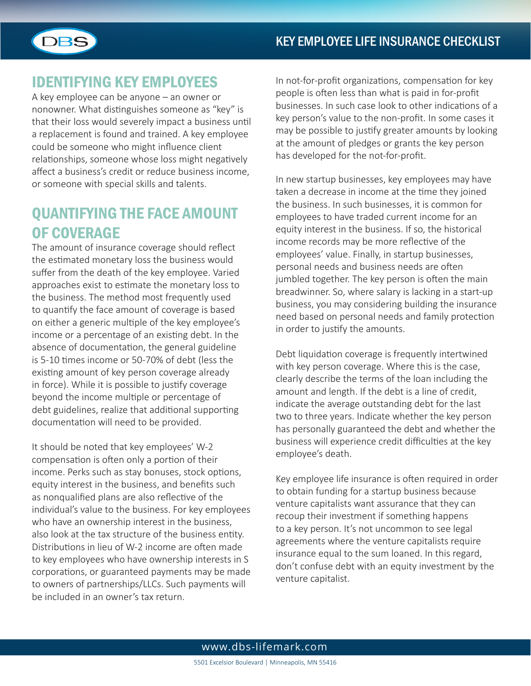

# IDENTIFYING KEY EMPLOYEES

A key employee can be anyone – an owner or nonowner. What distinguishes someone as "key" is that their loss would severely impact a business until a replacement is found and trained. A key employee could be someone who might influence client relationships, someone whose loss might negatively affect a business's credit or reduce business income, or someone with special skills and talents.

# QUANTIFYING THE FACE AMOUNT OF COVERAGE

The amount of insurance coverage should reflect the estimated monetary loss the business would suffer from the death of the key employee. Varied approaches exist to estimate the monetary loss to the business. The method most frequently used to quantify the face amount of coverage is based on either a generic multiple of the key employee's income or a percentage of an existing debt. In the absence of documentation, the general guideline is 5-10 times income or 50-70% of debt (less the existing amount of key person coverage already in force). While it is possible to justify coverage beyond the income multiple or percentage of debt guidelines, realize that additional supporting documentation will need to be provided.

It should be noted that key employees' W-2 compensation is often only a portion of their income. Perks such as stay bonuses, stock options, equity interest in the business, and benefits such as nonqualified plans are also reflective of the individual's value to the business. For key employees who have an ownership interest in the business, also look at the tax structure of the business entity. Distributions in lieu of W-2 income are often made to key employees who have ownership interests in S corporations, or guaranteed payments may be made to owners of partnerships/LLCs. Such payments will be included in an owner's tax return.

In not-for-profit organizations, compensation for key people is often less than what is paid in for-profit businesses. In such case look to other indications of a key person's value to the non-profit. In some cases it may be possible to justify greater amounts by looking at the amount of pledges or grants the key person has developed for the not-for-profit.

In new startup businesses, key employees may have taken a decrease in income at the time they joined the business. In such businesses, it is common for employees to have traded current income for an equity interest in the business. If so, the historical income records may be more reflective of the employees' value. Finally, in startup businesses, personal needs and business needs are often jumbled together. The key person is often the main breadwinner. So, where salary is lacking in a start-up business, you may considering building the insurance need based on personal needs and family protection in order to justify the amounts.

Debt liquidation coverage is frequently intertwined with key person coverage. Where this is the case, clearly describe the terms of the loan including the amount and length. If the debt is a line of credit, indicate the average outstanding debt for the last two to three years. Indicate whether the key person has personally guaranteed the debt and whether the business will experience credit difficulties at the key employee's death.

Key employee life insurance is often required in order to obtain funding for a startup business because venture capitalists want assurance that they can recoup their investment if something happens to a key person. It's not uncommon to see legal agreements where the venture capitalists require insurance equal to the sum loaned. In this regard, don't confuse debt with an equity investment by the venture capitalist.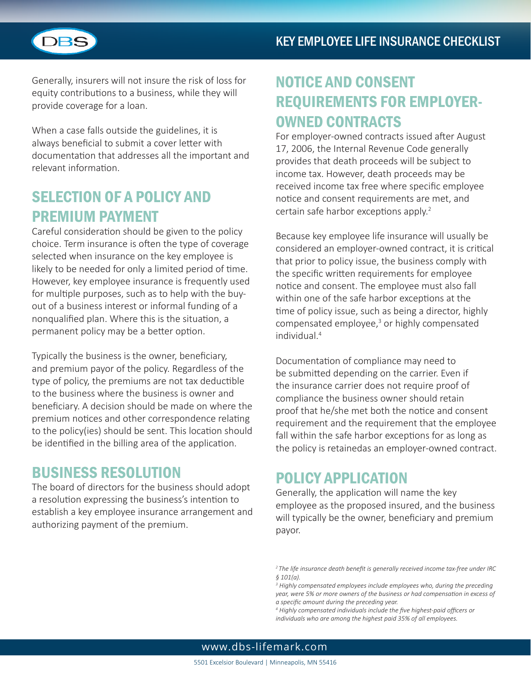

Generally, insurers will not insure the risk of loss for equity contributions to a business, while they will provide coverage for a loan.

When a case falls outside the guidelines, it is always beneficial to submit a cover letter with documentation that addresses all the important and relevant information.

# SELECTION OF A POLICY AND PREMIUM PAYMENT

Careful consideration should be given to the policy choice. Term insurance is often the type of coverage selected when insurance on the key employee is likely to be needed for only a limited period of time. However, key employee insurance is frequently used for multiple purposes, such as to help with the buyout of a business interest or informal funding of a nonqualified plan. Where this is the situation, a permanent policy may be a better option.

Typically the business is the owner, beneficiary, and premium payor of the policy. Regardless of the type of policy, the premiums are not tax deductible to the business where the business is owner and beneficiary. A decision should be made on where the premium notices and other correspondence relating to the policy(ies) should be sent. This location should be identified in the billing area of the application.

### BUSINESS RESOLUTION

The board of directors for the business should adopt a resolution expressing the business's intention to establish a key employee insurance arrangement and authorizing payment of the premium.

# NOTICE AND CONSENT REQUIREMENTS FOR EMPLOYER-OWNED CONTRACTS

For employer-owned contracts issued after August 17, 2006, the Internal Revenue Code generally provides that death proceeds will be subject to income tax. However, death proceeds may be received income tax free where specific employee notice and consent requirements are met, and certain safe harbor exceptions apply.<sup>2</sup>

Because key employee life insurance will usually be considered an employer-owned contract, it is critical that prior to policy issue, the business comply with the specific written requirements for employee notice and consent. The employee must also fall within one of the safe harbor exceptions at the time of policy issue, such as being a director, highly compensated employee,<sup>3</sup> or highly compensated individual.4

Documentation of compliance may need to be submitted depending on the carrier. Even if the insurance carrier does not require proof of compliance the business owner should retain proof that he/she met both the notice and consent requirement and the requirement that the employee fall within the safe harbor exceptions for as long as the policy is retainedas an employer-owned contract.

# POLICY APPLICATION

Generally, the application will name the key employee as the proposed insured, and the business will typically be the owner, beneficiary and premium payor.

*<sup>2</sup>The life insurance death benefit is generally received income tax-free under IRC § 101(a).*

<sup>&</sup>lt;sup>3</sup> Highly compensated employees include employees who, during the preceding *year, were 5% or more owners of the business or had compensation in excess of a specific amount during the preceding year.*

*<sup>4</sup> Highly compensated individuals include the five highest-paid officers or individuals who are among the highest paid 35% of all employees.*